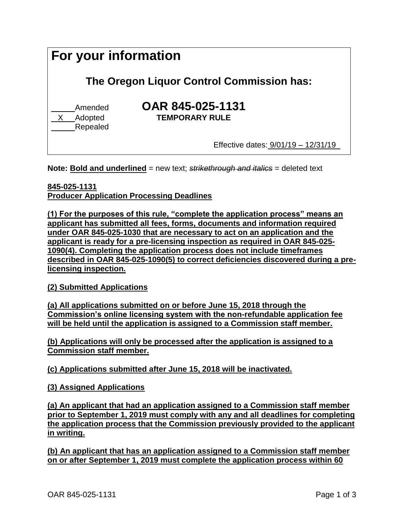| For your information<br>The Oregon Liquor Control Commission has: |                                                                           |
|-------------------------------------------------------------------|---------------------------------------------------------------------------|
|                                                                   |                                                                           |
|                                                                   | Effective dates: $9/01/19 - 12/31/19$                                     |
|                                                                   | Nets: Deld and underlined now tout otrikothrough and italies andeted tout |

**Note: Bold and underlined** = new text; *strikethrough and italics* = deleted text

## **845-025-1131**

**Producer Application Processing Deadlines**

**(1) For the purposes of this rule, "complete the application process" means an applicant has submitted all fees, forms, documents and information required under OAR 845-025-1030 that are necessary to act on an application and the applicant is ready for a pre-licensing inspection as required in OAR 845-025- 1090(4). Completing the application process does not include timeframes described in OAR 845-025-1090(5) to correct deficiencies discovered during a prelicensing inspection.**

## **(2) Submitted Applications**

**(a) All applications submitted on or before June 15, 2018 through the Commission's online licensing system with the non-refundable application fee will be held until the application is assigned to a Commission staff member.** 

**(b) Applications will only be processed after the application is assigned to a Commission staff member.**

**(c) Applications submitted after June 15, 2018 will be inactivated.**

**(3) Assigned Applications**

**(a) An applicant that had an application assigned to a Commission staff member prior to September 1, 2019 must comply with any and all deadlines for completing the application process that the Commission previously provided to the applicant in writing.**

**(b) An applicant that has an application assigned to a Commission staff member on or after September 1, 2019 must complete the application process within 60**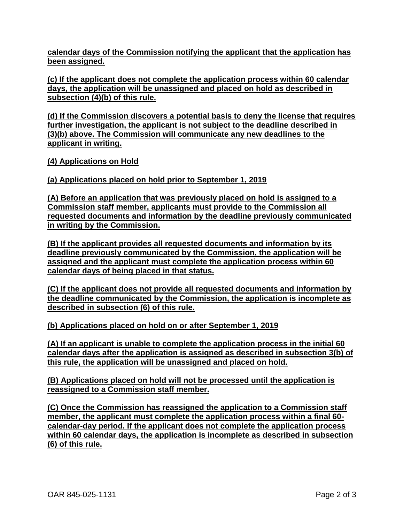**calendar days of the Commission notifying the applicant that the application has been assigned.** 

**(c) If the applicant does not complete the application process within 60 calendar days, the application will be unassigned and placed on hold as described in subsection (4)(b) of this rule.**

**(d) If the Commission discovers a potential basis to deny the license that requires further investigation, the applicant is not subject to the deadline described in (3)(b) above. The Commission will communicate any new deadlines to the applicant in writing.** 

**(4) Applications on Hold**

**(a) Applications placed on hold prior to September 1, 2019**

**(A) Before an application that was previously placed on hold is assigned to a Commission staff member, applicants must provide to the Commission all requested documents and information by the deadline previously communicated in writing by the Commission.**

**(B) If the applicant provides all requested documents and information by its deadline previously communicated by the Commission, the application will be assigned and the applicant must complete the application process within 60 calendar days of being placed in that status.** 

**(C) If the applicant does not provide all requested documents and information by the deadline communicated by the Commission, the application is incomplete as described in subsection (6) of this rule.**

**(b) Applications placed on hold on or after September 1, 2019**

**(A) If an applicant is unable to complete the application process in the initial 60 calendar days after the application is assigned as described in subsection 3(b) of this rule, the application will be unassigned and placed on hold.**

**(B) Applications placed on hold will not be processed until the application is reassigned to a Commission staff member.** 

**(C) Once the Commission has reassigned the application to a Commission staff member, the applicant must complete the application process within a final 60 calendar-day period. If the applicant does not complete the application process within 60 calendar days, the application is incomplete as described in subsection (6) of this rule.**